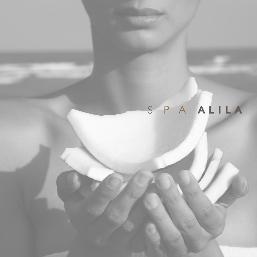# SPAALILA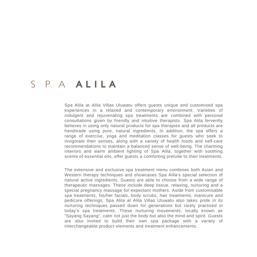# S P A ALILA

Spa Alila at Alila Villas Uluwatu offers guests unique and customised spa experiences in a relaxed and contemporary environment. Varieties of indulgent and rejuvenating spa treatments are combined with personal consultations given by friendly and intuitive therapists. Spa Alila fervently believes in using only natural products for spa therapies and all products are handmade using pure, natural ingredients. In addition, the spa offers a range of exercise, yoga and meditation classes for guests who seek to invigorate their senses, along with a variety of health foods and self-care recommendations to maintain a balanced sense of well-being. The charming interiors and warm ambient lighting of Spa Alila, together with soothing scents of essential oils, offer guests a comforting prelude to their treatments.

The extensive and exclusive spa treatment menu combines both Asian and Western therapy techniques and showcases Spa Alila's special selection of natural active ingredients. Guests are able to choose from a wide range of therapeutic massages. These include deep tissue, relaxing, nurturing and a special pregnancy massage for expectant mothers. Aside from customisable spa treatments, his/her facials, body scrubs, hair treatments, manicure and pedicure offerings, Spa Alila at Alila Villas Uluwatu also takes pride in its nurturing techniques passed down for generations but rarely practised in today's spa treatments. These nurturing movements, locally known as "Sayang Sayang", calm not just the body but also the mind and spirit. Guests are also invited to build their own spa package with a variety of interchangeable product elements and treatment enhancements.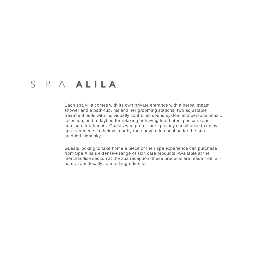# S P A ALILA

Each spa villa comes with its own private entrance with a herbal steam shower and a bath-tub, his and her grooming stations, two adjustable treatment beds with individually controlled sound system and personal music selection, and a daybed for relaxing or having foot baths, pedicure and manicure treatments. Guests who prefer more privacy can choose to enjoy spa treatments in their villa or by their private lap pool under the starstudded night sky.

Guests looking to take home a piece of their spa experience can purchase from Spa Alila's extensive range of skin care products. Available at the merchandise section at the spa reception, these products are made from allnatural and locally sourced ingredients.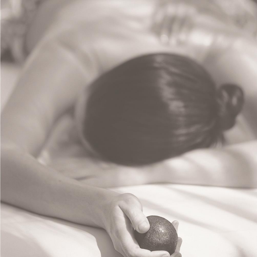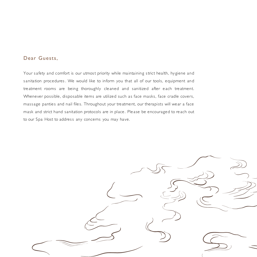# Dear Guests,

Your safety and comfort is our utmost priority while maintaining strict health, hygiene and sanitation procedures. We would like to inform you that all of our tools, equipment and treatment rooms are being thoroughly cleaned and sanitized after each treatment. Whenever possible, disposable items are utilized such as face masks, face cradle covers, massage panties and nail files. Throughout your treatment, our therapists will wear a face mask and strict hand sanitation protocols are in place. Please be encouraged to reach out to our Spa Host to address any concerns you may have.

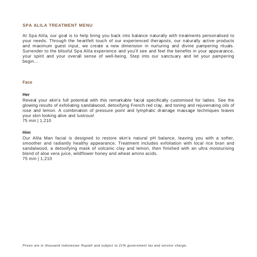# **SPA ALILA TREATMENT MENU**

At Spa Alila, our goal is to help bring you back into balance naturally with treatments personalised to your needs. Through the heartfelt touch of our experienced therapists, our naturally active products and maximum guest input, we create a new dimension in nurturing and divine pampering rituals. Surrender to the blissful Spa Alila experience and you'll see and feel the benefits in your appearance, your spirit and your overall sense of well-being. Step into our sanctuary and let your pampering begin…

#### **Face**

#### **Her**

Reveal your skin's full potential with this remarkable facial specifically customised for ladies. See the glowing results of exfoliating sandalwood, detoxifying French red clay, and toning and rejuvenating oils of rose and lemon. A combination of pressure point and lymphatic drainage massage techniques leaves your skin looking alive and lustrous! 75 min | 1,210

# **Him**

Our Alila Man facial is designed to restore skin's natural pH balance, leaving you with a softer, smoother and radiantly healthy appearance. Treatment includes exfoliation with local rice bran and sandalwood, a detoxifying mask of volcanic clay and lemon, then finished with an ultra moisturising blend of aloe vera juice, wildflower honey and wheat amino acids. 75 min | 1,210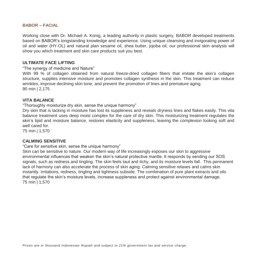# **BABOR – FACIAL**

Working close with Dr. Michael A. Konig, a leading authority in plastic surgery, BABOR developed treatments based on BABOR's longstanding knowledge and experience. Using unique cleansing and invigorating power of oil and water (HY-OL) and natural plan sesame oil, shea butter, jojoba oil, our professional skin analysis will show you which treatment and skin care products suit you best.

#### **ULTIMATE FACE LIFTING**

#### "The synergy of medicine and Nature"

With 99 % of collagen obtained from natural freeze-dried collagen fibers that imitate the skin's collagen structure, supplies intensive moisture and promotes collagen synthesis in the skin. This treatment can reduce wrinkles, improve declining skin tone, and prevent the promotion of lines and premature aging. 90 min | 2,175

#### **VITA BALANCE**

"Thoroughly moisturize dry skin, sense the unique harmony"

Dry skin that is lacking in moisture has lost its suppleness and reveals dryness lines and flakes easily. This vita balance treatment uses deep moist complex for the care of dry skin. This moisturizing treatment regulates the skin's lipid and moisture balance, restores elasticity and suppleness, leaving the complexion looking soft and well cared for

75 min | 1,570

#### **CALMING SENSITIVE**

"Care for sensitive skin, sense the unique harmony"

Skin can be sensitive to nature. Our modern way of life increasingly exposes our skin to aggressive environmental influences that weaken the skin's natural protective mantle. It responds by sending our SOS signals, such as redness and tingling. The skin feels taut and itchy, and its moisture levels fall. This permanent lack of harmony can also accelerate the process of skin aging. Calming sensitive relaxes and calms skin instantly. Irritations, redness, tingling and tightness subside. The combination of pure plant extracts and oils that regulate the skin's moisture levels, increase suppleness and protect against environmental damage. 75 min | 1,570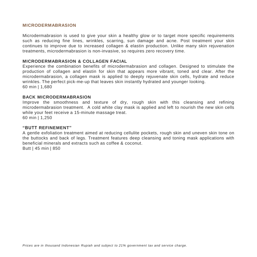### **MICRODERMABRASION**

Microdermabrasion is used to give your skin a healthy glow or to target more specific requirements such as reducing fine lines, wrinkles, scarring, sun damage and acne. Post treatment your skin continues to improve due to increased collagen & elastin production. Unlike many skin rejuvenation treatments, microdermabrasion is non-invasive, so requires zero recovery time.

# **MICRODERMABRASION & COLLAGEN FACIAL**

Experience the combination benefits of microdermabrasion and collagen. Designed to stimulate the production of collagen and elastin for skin that appears more vibrant, toned and clear. After the microdermabrasion, a collagen mask is applied to deeply rejuvenate skin cells, hydrate and reduce wrinkles. The perfect pick-me-up that leaves skin instantly hydrated and younger looking. 60 min | 1,680

#### **BACK MICRODERMABRASION**

Improve the smoothness and texture of dry, rough skin with this cleansing and refining microdermabrasion treatment. A cold white clay mask is applied and left to nourish the new skin cells while your feet receive a 15-minute massage treat. 60 min | 1,250

#### **"BUTT REFINEMENT"**

A gentle exfoliation treatment aimed at reducing cellulite pockets, rough skin and uneven skin tone on the buttocks and back of legs. Treatment features deep cleansing and toning mask applications with beneficial minerals and extracts such as coffee & coconut. Butt | 45 min | 850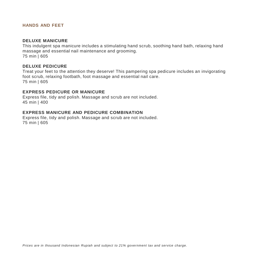# **HANDS AND FEET**

#### **DELUXE MANICURE**

This indulgent spa manicure includes a stimulating hand scrub, soothing hand bath, relaxing hand massage and essential nail maintenance and grooming. 75 min | 605

#### **DELUXE PEDICURE**

Treat your feet to the attention they deserve! This pampering spa pedicure includes an invigorating foot scrub, relaxing footbath, foot massage and essential nail care. 75 min | 605

## **EXPRESS PEDICURE OR MANICURE**

Express file, tidy and polish. Massage and scrub are not included. 45 min | 400

#### **EXPRESS MANICURE AND PEDICURE COMBINATION**

Express file, tidy and polish. Massage and scrub are not included. 75 min | 605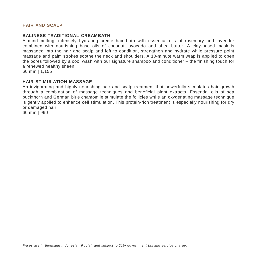# **HAIR AND SCALP**

#### **BALINESE TRADITIONAL CREAMBATH**

A mind-melting, intensely hydrating crème hair bath with essential oils of rosemary and lavender combined with nourishing base oils of coconut, avocado and shea butter. A clay-based mask is massaged into the hair and scalp and left to condition, strengthen and hydrate while pressure point massage and palm strokes soothe the neck and shoulders. A 10-minute warm wrap is applied to open the pores followed by a cool wash with our signature shampoo and conditioner – the finishing touch for a renewed healthy sheen.

60 min | 1,155

### **HAIR STIMULATION MASSAGE**

An invigorating and highly nourishing hair and scalp treatment that powerfully stimulates hair growth through a combination of massage techniques and beneficial plant extracts. Essential oils of sea buckthorn and German blue chamomile stimulate the follicles while an oxygenating massage technique is gently applied to enhance cell stimulation. This protein-rich treatment is especially nourishing for dry or damaged hair.

60 min | 990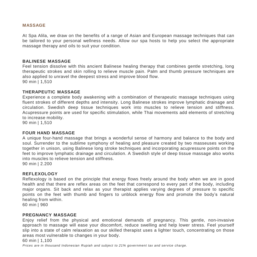# **MASSAGE**

At Spa Alila, we draw on the benefits of a range of Asian and European massage techniques that can be tailored to your personal wellness needs. Allow our spa hosts to help you select the appropriate massage therapy and oils to suit your condition.

#### **BALINESE MASSAGE**

Feel tension dissolve with this ancient Balinese healing therapy that combines gentle stretching, long therapeutic strokes and skin rolling to relieve muscle pain. Palm and thumb pressure techniques are also applied to unravel the deepest stress and improve blood flow. 90 min | 1,510

# **THERAPEUTIC MASSAGE**

Experience a complete body awakening with a combination of therapeutic massage techniques using fluent strokes of different depths and intensity. Long Balinese strokes improve lymphatic drainage and circulation. Swedish deep tissue techniques work into muscles to relieve tension and stiffness. Acupressure points are used for specific stimulation, while Thai movements add elements of stretching to increase mobility.

90 min | 1,510

#### **FOUR HAND MASSAGE**

A unique four-hand massage that brings a wonderful sense of harmony and balance to the body and soul. Surrender to the sublime symphony of healing and pleasure created by two masseuses working together in unison, using Balinese long stroke techniques and incorporating acupressure points on the feet to improve lymphatic drainage and circulation. A Swedish style of deep tissue massage also works into muscles to relieve tension and stiffness.

90 min | 2.200

# **REFLEXOLOGY**

Reflexology is based on the principle that energy flows freely around the body when we are in good health and that there are reflex areas on the feet that correspond to every part of the body, including major organs. Sit back and relax as your therapist applies varying degrees of pressure to specific points on the feet with thumb and fingers to unblock energy flow and promote the body's natural healing from within.

60 min | 960

# **PREGNANCY MASSAGE**

Enjoy relief from the physical and emotional demands of pregnancy. This gentle, non-invasive approach to massage will ease your discomfort, reduce swelling and help lower stress. Feel yourself slip into a state of calm relaxation as our skilled therapist uses a lighter touch, concentrating on those areas most vulnerable to changes in your body.

60 min | 1,100

*Prices are in thousand Indonesian Rupiah and subject to 21% government tax and service charge.*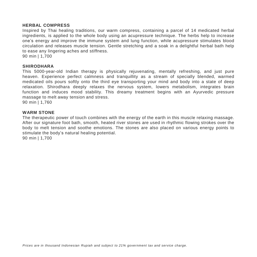# **HERBAL COMPRESS**

Inspired by Thai healing traditions, our warm compress, containing a parcel of 14 medicated herbal ingredients, is applied to the whole body using an acupressure technique. The herbs help to increase one's energy and improve the immune system and lung function, while acupressure stimulates blood circulation and releases muscle tension. Gentle stretching and a soak in a delightful herbal bath help to ease any lingering aches and stiffness.

90 min | 1,700

### **SHIRODHARA**

This 5000-year-old Indian therapy is physically rejuvenating, mentally refreshing, and just pure heaven. Experience perfect calmness and tranquillity as a stream of specially blended, warmed medicated oils pours softly onto the third eye transporting your mind and body into a state of deep relaxation. Shirodhara deeply relaxes the nervous system, lowers metabolism, integrates brain function and induces mood stability. This dreamy treatment begins with an Ayurvedic pressure massage to melt away tension and stress. 90 min | 1,760

#### **WARM STONE**

The therapeutic power of touch combines with the energy of the earth in this muscle relaxing massage. After our signature foot bath, smooth, heated river stones are used in rhythmic flowing strokes over the body to melt tension and soothe emotions. The stones are also placed on various energy points to stimulate the body's natural healing potential. 90 min | 1,700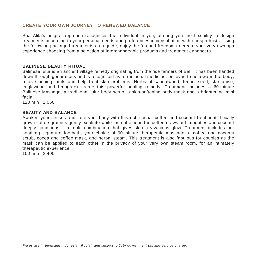# **CREATE YOUR OWN JOURNEY TO RENEWED BALANCE**

Spa Alila's unique approach recognises the individual in you, offering you the flexibility to design treatments according to your personal needs and preferences in consultation with our spa hosts. Using the following packaged treatments as a guide, enjoy the fun and freedom to create your very own spa experience choosing from a selection of interchangeable products and treatment enhancers.

#### **BALINESE BEAUTY RITUAL**

Balinese lulur is an ancient village remedy originating from the rice farmers of Bali. It has been handed down through generations and is recognised as a traditional medicine, believed to help warm the body, relieve aching joints and help treat skin problems. Herbs of sandalwood, fennel seed, star anise, eaglewood and fenugreek create this powerful healing remedy. Treatment includes a 60-minute Balinese Massage, a traditional lulur body scrub, a skin-softening body mask and a brightening mini facial.

120 min | 2,050

#### **BEAUTY AND BALANCE**

Awaken your senses and tone your body with this rich cocoa, coffee and coconut treatment. Locally grown coffee grounds gently exfoliate while the caffeine in the coffee draws out impurities and coconut deeply conditions – a triple combination that gives skin a vivacious glow. Treatment includes our soothing signature footbath, your choice of 60-minute therapeutic massage, a coffee and coconut scrub, cocoa and coffee mask, and herbal steam. This treatment is also fabulous for couples as the mask can be applied to each other in the privacy of your very own steam room, for an intimately therapeutic experience!

150 min | 2,400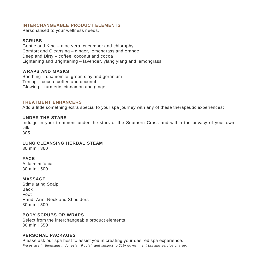# **INTERCHANGEABLE PRODUCT ELEMENTS**

Personalised to your wellness needs.

# **SCRUBS**

Gentle and Kind – aloe vera, cucumber and chlorophyll Comfort and Cleansing – ginger, lemongrass and orange Deep and Dirty – coffee, coconut and cocoa Lightening and Brightening – lavender, ylang ylang and lemongrass

#### **WRAPS AND MASKS**

Soothing – chamomile, green clay and geranium Toning – cocoa, coffee and coconut Glowing – turmeric, cinnamon and ginger

## **TREATMENT ENHANCERS**

Add a little something extra special to your spa journey with any of these therapeutic experiences:

# **UNDER THE STARS**

Indulge in your treatment under the stars of the Southern Cross and within the privacy of your own villa. 305

# **LUNG CLEANSING HERBAL STEAM**

30 min | 360

# **FACE**

Alila mini facial 30 min | 500

# **MASSAGE**

Stimulating Scalp Back Foot Hand, Arm, Neck and Shoulders 30 min | 500

# **BODY SCRUBS OR WRAPS**

Select from the interchangeable product elements. 30 min | 550

# **PERSONAL PACKAGES**

Please ask our spa host to assist you in creating your desired spa experience. *Prices are in thousand Indonesian Rupiah and subject to 21% government tax and service charge.*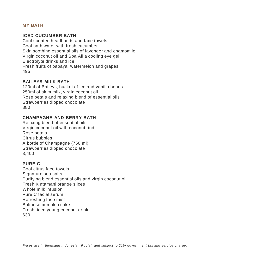# **MY BATH**

# **ICED CUCUMBER BATH**

Cool scented headbands and face towels Cool bath water with fresh cucumber Skin soothing essential oils of lavender and chamomile Virgin coconut oil and Spa Alila cooling eye gel Electrolyte drinks and ice Fresh fruits of papaya, watermelon and grapes 495

# **BAILEYS MILK BATH**

120ml of Baileys, bucket of ice and vanilla beans 250ml of skim milk, virgin coconut oil Rose petals and relaxing blend of essential oils Strawberries dipped chocolate 880

# **CHAMPAGNE AND BERRY BATH**

Relaxing blend of essential oils Virgin coconut oil with coconut rind Rose petals Citrus bubbles A bottle of Champagne (750 ml) Strawberries dipped chocolate 3,400

# **PURE C**

Cool citrus face towels Signature sea salts Purifying blend essential oils and virgin coconut oil Fresh Kintamani orange slices Whole milk infusion Pure C facial serum Refreshing face mist Balinese pumpkin cake Fresh, iced young coconut drink 630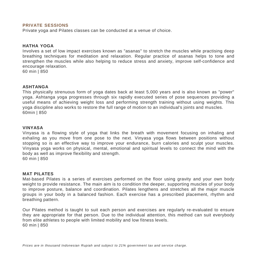# **PRIVATE SESSIONS**

Private yoga and Pilates classes can be conducted at a venue of choice.

# **HATHA YOGA**

Involves a set of low impact exercises known as "asanas" to stretch the muscles while practising deep breathing techniques for meditation and relaxation. Regular practice of asanas helps to tone and strengthen the muscles while also helping to reduce stress and anxiety, improve self-confidence and encourage relaxation.

60 min | 850

#### **ASHTANGA**

This physically strenuous form of yoga dates back at least 5,000 years and is also known as "power" yoga. Ashtanga yoga progresses through six rapidly executed series of pose sequences providing a useful means of achieving weight loss and performing strength training without using weights. This yoga discipline also works to restore the full range of motion to an individual's joints and muscles. 60min | 850

#### **VINYASA**

Vinyasa is a flowing style of yoga that links the breath with movement focusing on inhaling and exhaling as you move from one pose to the next. Vinyasa yoga flows between positions without stopping so is an effective way to improve your endurance, burn calories and sculpt your muscles. Vinyasa yoga works on physical, mental, emotional and spiritual levels to connect the mind with the body as well as improve flexibility and strength. 60 min | 850

#### **MAT PILATES**

Mat-based Pilates is a series of exercises performed on the floor using gravity and your own body weight to provide resistance. The main aim is to condition the deeper, supporting muscles of your body to improve posture, balance and coordination. Pilates lengthens and stretches all the major muscle groups in your body in a balanced fashion. Each exercise has a prescribed placement, rhythm and breathing pattern.

Our Pilates method is taught to suit each person and exercises are regularly re-evaluated to ensure they are appropriate for that person. Due to the individual attention, this method can suit everybody from elite athletes to people with limited mobility and low fitness levels. 60 min | 850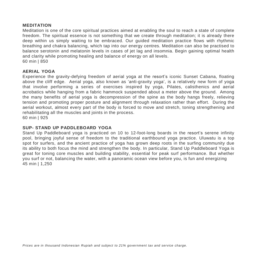# **MEDITATION**

Meditation is one of the core spiritual practices aimed at enabling the soul to reach a state of complete freedom. The spiritual essence is not something that we create through meditation; it is already there deep within us simply waiting to be embraced. Our guided meditation practice flows with rhythmic breathing and chakra balancing, which tap into our energy centres. Meditation can also be practised to balance serotonin and melatonin levels in cases of jet lag and insomnia. Begin gaining optimal health and clarity while promoting healing and balance of energy on all levels. 60 min | 850

# **AERIAL YOGA**

Experience the gravity-defying freedom of aerial yoga at the resort's iconic Sunset Cabana, floating above the cliff edge. Aerial yoga, also known as 'anti-gravity yoga', is a relatively new form of yoga that involve performing a series of exercises inspired by yoga, Pilates, calisthenics and aerial acrobatics while hanging from a fabric hammock suspended about a meter above the ground. Among the many benefits of aerial yoga is decompression of the spine as the body hangs freely, relieving tension and promoting proper posture and alignment through relaxation rather than effort. During the aerial workout, almost every part of the body is forced to move and stretch, toning strengthening and rehabilitating all the muscles and joints in the process. 60 min | 925

# **SUP- STAND UP PADDLEBOARD YOGA**

Stand Up Paddleboard yoga is practiced on 10 to 12-foot-long boards in the resort's serene infinity pool, bringing joyful sense of freedom to the traditional earthbound yoga practice. Uluwatu is a top spot for surfers, and the ancient practice of yoga has grown deep roots in the surfing community due its ability to both focus the mind and strengthen the body. In particular, Stand Up Paddleboard Yoga is great for toning core muscles and building stability, essential for peak surf performance. But whether you surf or not, balancing the water, with a panoramic ocean view before you, is fun and energizing 45 min | 1,250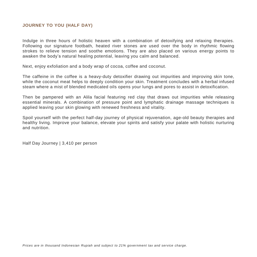# **JOURNEY TO YOU (HALF DAY)**

Indulge in three hours of holistic heaven with a combination of detoxifying and relaxing therapies. Following our signature footbath, heated river stones are used over the body in rhythmic flowing strokes to relieve tension and soothe emotions. They are also placed on various energy points to awaken the body's natural healing potential, leaving you calm and balanced.

Next, enjoy exfoliation and a body wrap of cocoa, coffee and coconut.

The caffeine in the coffee is a heavy-duty detoxifier drawing out impurities and improving skin tone, while the coconut meat helps to deeply condition your skin. Treatment concludes with a herbal infused steam where a mist of blended medicated oils opens your lungs and pores to assist in detoxification.

Then be pampered with an Alila facial featuring red clay that draws out impurities while releasing essential minerals. A combination of pressure point and lymphatic drainage massage techniques is applied leaving your skin glowing with renewed freshness and vitality.

Spoil yourself with the perfect half-day journey of physical rejuvenation, age-old beauty therapies and healthy living. Improve your balance, elevate your spirits and satisfy your palate with holistic nurturing and nutrition.

Half Day Journey | 3,410 per person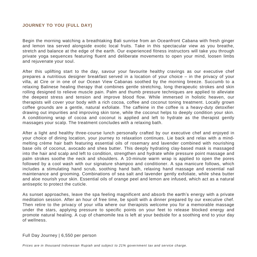# **JOURNEY TO YOU (FULL DAY)**

Begin the morning watching a breathtaking Bali sunrise from an Oceanfront Cabana with fresh ginger and lemon tea served alongside exotic local fruits. Take in this spectacular view as you breathe, stretch and balance at the edge of the earth. Our experienced fitness instructors will take you through private yoga sequences featuring fluent and deliberate movements to open your mind, loosen limbs and rejuvenate your soul.

After this uplifting start to the day, savour your favourite healthy cravings as our executive chef prepares a nutritious designer breakfast served in a location of your choice – in the privacy of your villa, at Cire or in one of our Ocean View Cabanas soothed by the morning breeze. Succumb to a relaxing Balinese healing therapy that combines gentle stretching, long therapeutic strokes and skin rolling designed to relieve muscle pain. Palm and thumb pressure techniques are applied to alleviate the deepest stress and tension and improve blood flow. While immersed in holistic heaven, our therapists will cover your body with a rich cocoa, coffee and coconut toning treatment. Locally grown coffee grounds are a gentle, natural exfoliate. The caffeine in the coffee is a heavy-duty detoxifier drawing out impurities and improving skin tone, while the coconut helps to deeply condition your skin. A conditioning wrap of cocoa and coconut is applied and left to hydrate as the therapist gently massages your scalp. The treatment concludes with a relaxing bath.

After a light and healthy three-course lunch personally crafted by our executive chef and enjoyed in your choice of dining location, your journey to relaxation continues. Lie back and relax with a mindmelting crème hair bath featuring essential oils of rosemary and lavender combined with nourishing base oils of coconut, avocado and shea butter. This deeply hydrating clay-based mask is massaged into the hair and scalp and left to condition, strengthen and hydrate while pressure point massage and palm strokes soothe the neck and shoulders. A 10-minute warm wrap is applied to open the pores followed by a cool wash with our signature shampoo and conditioner. A spa manicure follows, which includes a stimulating hand scrub, soothing hand bath, relaxing hand massage and essential nail maintenance and grooming. Combinations of sea salt and lavender gently exfoliate, while shea butter and aloe nourish your skin. Essential oils of orange peel and lemon are infused, which act as a natural antiseptic to protect the cuticle.

As sunset approaches, leave the spa feeling magnificent and absorb the earth's energy with a private meditation session. After an hour of free time, be spoilt with a dinner prepared by our executive chef. Then retire to the privacy of your villa where our therapists welcome you for a memorable massage under the stars, applying pressure to specific points on your feet to release blocked energy and promote natural healing. A cup of chamomile tea is left at your bedside for a soothing end to your day of wellness.

#### Full Day Journey | 6,550 per person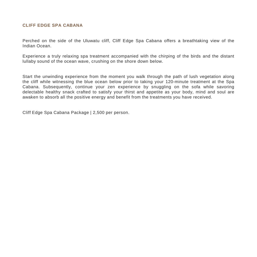# **CLIFF EDGE SPA CABANA**

Perched on the side of the Uluwatu cliff, Cliff Edge Spa Cabana offers a breathtaking view of the Indian Ocean.

Experience a truly relaxing spa treatment accompanied with the chirping of the birds and the distant lullaby sound of the ocean wave, crushing on the shore down below.

Start the unwinding experience from the moment you walk through the path of lush vegetation along the cliff while witnessing the blue ocean below prior to taking your 120-minute treatment at the Spa Cabana. Subsequently, continue your zen experience by snuggling on the sofa while savoring delectable healthy snack crafted to satisfy your thirst and appetite as your body, mind and soul are awaken to absorb all the positive energy and benefit from the treatments you have received.

Cliff Edge Spa Cabana Package | 2,500 per person.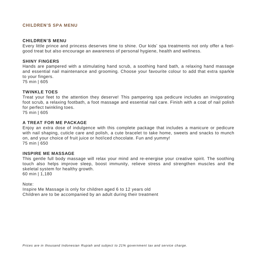# **CHILDREN'S SPA MENU**

#### **CHILDREN'S MENU**

Every little prince and princess deserves time to shine. Our kids' spa treatments not only offer a feelgood treat but also encourage an awareness of personal hygiene, health and wellness.

#### **SHINY FINGERS**

Hands are pampered with a stimulating hand scrub, a soothing hand bath, a relaxing hand massage and essential nail maintenance and grooming. Choose your favourite colour to add that extra sparkle to your fingers.

75 min | 605

#### **TWINKLE TOES**

Treat your feet to the attention they deserve! This pampering spa pedicure includes an invigorating foot scrub, a relaxing footbath, a foot massage and essential nail care. Finish with a coat of nail polish for perfect twinkling toes.

75 min | 605

#### **A TREAT FOR ME PACKAGE**

Enjoy an extra dose of indulgence with this complete package that includes a manicure or pedicure with nail shaping, cuticle care and polish, a cute bracelet to take home, sweets and snacks to munch on, and your choice of fruit juice or hot/iced chocolate. Fun and yummy! 75 min | 650

#### **INSPIRE ME MASSAGE**

This gentle full body massage will relax your mind and re-energise your creative spirit. The soothing touch also helps improve sleep, boost immunity, relieve stress and strengthen muscles and the skeletal system for healthy growth.

60 min | 1,180

Note:

Inspire Me Massage is only for children aged 6 to 12 years old Children are to be accompanied by an adult during their treatment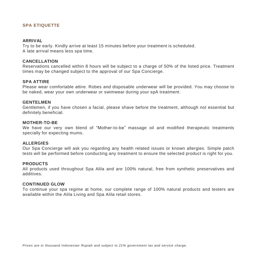# **SPA ETIQUETTE**

#### **ARRIVAL**

Try to be early. Kindly arrive at least 15 minutes before your treatment is scheduled. A late arrival means less spa time.

#### **CANCELLATION**

Reservations cancelled within 8 hours will be subject to a charge of 50% of the listed price. Treatment times may be changed subject to the approval of our Spa Concierge.

#### **SPA ATTIRE**

Please wear comfortable attire. Robes and disposable underwear will be provided. You may choose to be naked, wear your own underwear or swimwear during your spA treatment.

#### **GENTELMEN**

Gentlemen, if you have chosen a facial, please shave before the treatment, although not essential but definitely beneficial.

#### **MOTHER-TO-BE**

We have our very own blend of "Mother-to-be" massage oil and modified therapeutic treatments specially for expecting mums.

#### **ALLERGIES**

Our Spa Concierge will ask you regarding any health related issues or known allergies. Simple patch tests will be performed before conducting any treatment to ensure the selected product is right for you.

#### **PRODUCTS**

All products used throughout Spa Alila and are 100% natural, free from synthetic preservatives and additives.

#### **CONTINUED GLOW**

To continue your spa regime at home, our complete range of 100% natural products and testers are available within the Alila Living and Spa Alila retail stores.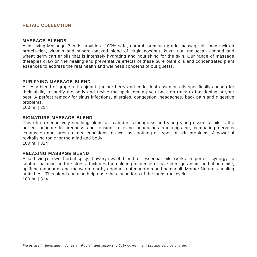# **RETAIL COLLECTION**

#### **MASSAGE BLENDS**

Alila Living Massage Blends provide a 100% safe, natural, premium grade massage oil, made with a protein-rich, vitamin and mineral-packed blend of virgin coconut, kukui nut, moluccan almond and wheat germ carrier oils that is intensely hydrating and nourishing for the skin. Our range of massage therapies draw on the healing and preventative effects of these pure plant oils and concentrated plant essences to address the real health and wellness concerns of our guests.

#### **PURIFYING MASSAGE BLEND**

A zesty blend of grapefruit, cajuput, juniper berry and cedar leaf essential oils specifically chosen for their ability to purify the body and revive the spirit, getting you back on track to functioning at your best. A perfect remedy for sinus infections, allergies, congestion, headaches, back pain and digestive problems.

100 ml | 314

# **SIGNATURE MASSAGE BLEND**

This oh so seductively soothing blend of lavender, lemongrass and ylang ylang essential oils is the perfect antidote to tiredness and tension, relieving headaches and migraine, combating nervous exhaustion and stress-related conditions, as well as soothing all types of skin problems. A powerful revitalising tonic for the mind and body. 100 ml | 314

#### **RELAXING MASSAGE BLEND**

Alila Living's own herbal-spicy, flowery-sweet blend of essential oils works in perfect synergy to soothe, balance and de-stress. Includes the calming influence of lavender, geranium and chamomile, uplifting mandarin, and the warm, earthy goodness of marjoram and patchouli. Mother Nature's healing at its best. This blend can also help ease the discomforts of the menstrual cycle. 100 ml | 314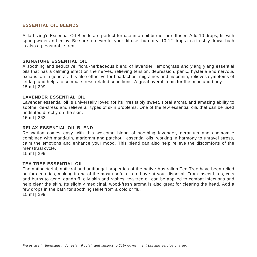# **ESSENTIAL OIL BLENDS**

Alila Living's Essential Oil Blends are perfect for use in an oil burner or diffuser. Add 10 drops, fill with spring water and enjoy. Be sure to never let your diffuser burn dry. 10-12 drops in a freshly drawn bath is also a pleasurable treat.

# **SIGNATURE ESSENTIAL OIL**

A soothing and seductive, floral-herbaceous blend of lavender, lemongrass and ylang ylang essential oils that has a calming effect on the nerves, relieving tension, depression, panic, hysteria and nervous exhaustion in general. It is also effective for headaches, migraines and insomnia, relieves symptoms of jet lag, and helps to combat stress-related conditions. A great overall tonic for the mind and body. 15 ml | 299

#### **LAVENDER ESSENTIAL OIL**

Lavender essential oil is universally loved for its irresistibly sweet, floral aroma and amazing ability to soothe, de-stress and relieve all types of skin problems. One of the few essential oils that can be used undiluted directly on the skin.

15 ml | 263

#### **RELAX ESSENTIAL OIL BLEND**

Relaxation comes easy with this welcome blend of soothing lavender, geranium and chamomile combined with mandarin, marjoram and patchouli essential oils, working in harmony to unravel stress, calm the emotions and enhance your mood. This blend can also help relieve the discomforts of the menstrual cycle.

15 ml | 299

#### **TEA TREE ESSENTIAL OIL**

The antibacterial, antiviral and antifungal properties of the native Australian Tea Tree have been relied on for centuries, making it one of the most useful oils to have at your disposal. From insect bites, cuts and burns to acne, dandruff, oily skin and rashes, tea tree oil can be applied to combat infections and help clear the skin. Its slightly medicinal, wood-fresh aroma is also great for clearing the head. Add a few drops in the bath for soothing relief from a cold or flu. 15 ml | 299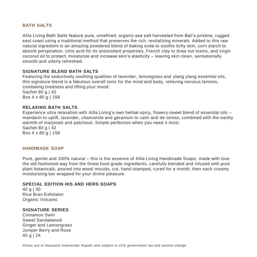# **BATH SALTS**

Alila Living Bath Salts feature pure, unrefined, organic sea salt harvested from Bali's pristine, rugged east coast using a traditional method that preserves the rich, revitalizing minerals. Added to this raw natural ingredient is an amazing powdered blend of baking soda to soothe itchy skin, corn starch to absorb perspiration, citric acid for its antioxidant properties, French clay to draw out toxins, and virgin coconut oil to protect, moisturize and increase skin's elasticity – leaving skin clean, sensationally smooth and utterly refreshed.

# **SIGNATURE BLEND BATH SALTS**

Featuring the seductively soothing qualities of lavender, lemongrass and ylang ylang essential oils, this signature blend is a fabulous overall tonic for the mind and body, relieving nervous tension, combating tiredness and lifting your mood.

Sachet 80 g | 42 Box 4 x 80 g | 158

# **RELAXING BATH SALTS**

Experience ultra relaxation with Alila Living's own herbal-spicy, flowery-sweet blend of essential oils – mandarin to uplift, lavender, chamomile and geranium to calm and de-stress, combined with the earthy warmth of marjoram and patchouli. Simple perfection when you need it most. Sachet 80 g | 42

Box 4 x 80 g | 158

# **HANDMADE SOAP**

Pure, gentle and 100% natural – this is the essence of Alila Living Handmade Soaps, made with love the old-fashioned way from the finest food-grade ingredients, carefully blended and infused with pure plant botanicals, poured into wood moulds, cut, hand-stamped, cured for a month, then each creamy moisturizing bar wrapped for your divine pleasure.

# **SPECIAL EDITION HIS AND HERS SOAPS**

40 g | 30 Rice Bran Exfoliator Organic Volcanic

# **SIGNATURE SERIES**

Cinnamon Swirl Sweet Sandalwood Ginger and Lemongrass Juniper Berry and Rose 40 g | 24

*Prices are in thousand Indonesian Rupiah and subject to 21% government tax and service charge.*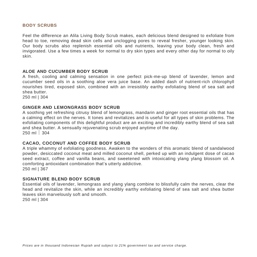### **BODY SCRUBS**

Feel the difference an Alila Living Body Scrub makes, each delicious blend designed to exfoliate from head to toe, removing dead skin cells and unclogging pores to reveal fresher, younger looking skin. Our body scrubs also replenish essential oils and nutrients, leaving your body clean, fresh and invigorated. Use a few times a week for normal to dry skin types and every other day for normal to oily skin.

#### **ALOE AND CUCUMBER BODY SCRUB**

A fresh, cooling and calming sensation in one perfect pick-me-up blend of lavender, lemon and cucumber seed oils in a soothing aloe vera juice base. An added dash of nutrient-rich chlorophyll nourishes tired, exposed skin, combined with an irresistibly earthy exfoliating blend of sea salt and shea butter.

250 ml | 304

# **GINGER AND LEMONGRASS BODY SCRUB**

A soothing yet refreshing citrusy blend of lemongrass, mandarin and ginger root essential oils that has a calming effect on the nerves. It tones and revitalizes and is useful for all types of skin problems. The exfoliating components of this delightful product are an exciting and incredibly earthy blend of sea salt and shea butter. A sensually rejuvenating scrub enjoyed anytime of the day. 250 ml 304

# **CACAO, COCONUT AND COFFEE BODY SCRUB**

A triple whammy of exfoliating goodness. Awaken to the wonders of this aromatic blend of sandalwood powder, desiccated coconut meat and milled coconut shell, perked up with an indulgent dose of cacao seed extract, coffee and vanilla beans, and sweetened with intoxicating ylang ylang blossom oil. A comforting antioxidant combination that's utterly addictive. 250 ml | 367

#### **SIGNATURE BLEND BODY SCRUB**

Essential oils of lavender, lemongrass and ylang ylang combine to blissfully calm the nerves, clear the head and revitalize the skin, while an incredibly earthy exfoliating blend of sea salt and shea butter leaves skin marvelously soft and smooth.

250 ml | 304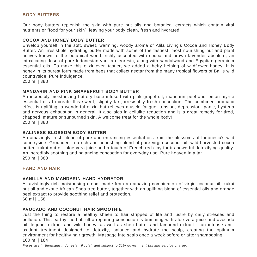# **BODY BUTTERS**

Our body butters replenish the skin with pure nut oils and botanical extracts which contain vital nutrients or "food for your skin", leaving your body clean, fresh and hydrated.

## **COCOA AND HONEY BODY BUTTER**

Envelop yourself in the soft, sweet, warming, woody aroma of Alila Living's Cocoa and Honey Body Butter. An irresistible hydrating butter made with some of the tastiest, most nourishing nut and plant actives known to the botanical world, richly accented with cocoa and brown lavender absolute, an intoxicating dose of pure Indonesian vanilla oleoresin, along with sandalwood and Egyptian geranium essential oils. To make this elixir even tastier, we added a hefty helping of wildflower honey. It is honey in its purest form made from bees that collect nectar from the many tropical flowers of Bali's wild countryside. Pure indulgence!

250 ml | 388

# **MANDARIN AND PINK GRAPEFRUIT BODY BUTTER**

An incredibly moisturizing buttery base infused with pink grapefruit, mandarin peel and lemon myrtle essential oils to create this sweet, slightly tart, irresistibly fresh concoction. The combined aromatic effect is uplifting; a wonderful elixir that relieves muscle fatigue, tension, depression, panic, hysteria and nervous exhaustion in general. It also aids in cellulite reduction and is a great remedy for tired, chapped, mature or sunburned skin. A welcome treat for the whole body! 250 ml | 388

#### **BALINESE BLOSSOM BODY BUTTER**

An amazingly fresh blend of pure and entrancing essential oils from the blossoms of Indonesia's wild countryside. Grounded in a rich and nourishing blend of pure virgin coconut oil, wild harvested cocoa butter, kukui nut oil, aloe vera juice and a touch of French red clay for its powerful detoxifying quality. An incredibly soothing and balancing concoction for everyday use. Pure heaven in a jar. 250 ml | 388

# **HAND AND HAIR**

#### **VANILLA AND MANDARIN HAND HYDRATOR**

A ravishingly rich moisturising cream made from an amazing combination of virgin coconut oil, kukui nut oil and exotic African Shea tree butter, together with an uplifting blend of essential oils and orange peel extract to provide soothing relief and protection. 60 ml | 158

#### **AVOCADO AND COCONUT HAIR SMOOTHIE**

Just the thing to restore a healthy sheen to hair stripped of life and lustre by daily stresses and pollution. This earthy, herbal, ultra-repairing concoction is brimming with aloe vera juice and avocado oil, legundi extract and wild honey, as well as shea butter and tamarind extract – an intense antioxidant treatment designed to detoxify, balance and hydrate the scalp, creating the optimum environment for healthy hair growth. Massage into scalp once a week before or after shampooing. 100 ml | 184

*Prices are in thousand Indonesian Rupiah and subject to 21% government tax and service charge.*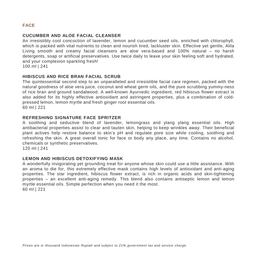# **FACE**

### **CUCUMBER AND ALOE FACIAL CLEANSER**

An irresistibly cool concoction of lavender, lemon and cucumber seed oils, enriched with chlorophyll, which is packed with vital nutrients to clean and nourish tired, lackluster skin. Effective yet gentle, Alila Living smooth and creamy facial cleansers are aloe vera-based and 100% natural – no harsh detergents, soap or artificial preservatives. Use twice daily to leave your skin feeling soft and hydrated, and your complexion sparkling fresh!

100 ml | 241

#### **HIBISCUS AND RICE BRAN FACIAL SCRUB**

The quintessential second step to an unparalleled and irresistible facial care regimen, packed with the natural goodness of aloe vera juice, coconut and wheat germ oils, and the pure scrubbing yummy-ness of rice bran and ground sandalwood. A well-known Ayurvedic ingredient, red hibiscus flower extract is also added for its highly effective antioxidant and astringent properties, plus a combination of coldpressed lemon, lemon myrtle and fresh ginger root essential oils. 60 ml | 221

# **REFRESHING SIGNATURE FACE SPRITZER**

A soothing and seductive blend of lavender, lemongrass and ylang ylang essential oils. High antibacterial properties assist to clear and tauten skin, helping to keep wrinkles away. Their beneficial plant actives help restore balance to skin's pH and regulate pore size while cooling, soothing and refreshing the skin. A great overall tonic for face or body any place, any time. Contains no alcohol, chemicals or synthetic preservatives.

120 ml | 241

#### **LEMON AND HIBISCUS DETOXIFYING MASK**

A wonderfully invigorating yet grounding treat for anyone whose skin could use a little assistance. With an aroma to die for, this extremely effective mask contains high levels of antioxidant and anti-aging properties. The star ingredient, hibiscus flower extract, is rich in organic acids and skin-tightening properties – an excellent anti-aging remedy. This blend also contains antiseptic lemon and lemon myrtle essential oils. Simple perfection when you need it the most. 60 ml | 221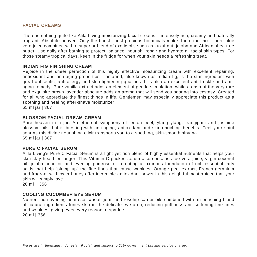# **FACIAL CREAMS**

There is nothing quite like Alila Living moisturizing facial creams – intensely rich, creamy and naturally fragrant. Absolute heaven. Only the finest, most precious botanicals make it into the mix – pure aloe vera juice combined with a superior blend of exotic oils such as kukui nut, jojoba and African shea tree butter. Use daily after bathing to protect, balance, nourish, repair and hydrate all facial skin types. For those steamy tropical days, keep in the fridge for when your skin needs a refreshing treat.

#### **INDIAN FIG FINISHING CREAM**

Rejoice in the sheer perfection of this highly effective moisturizing cream with excellent repairing, antioxidant and anti-aging properties. Tamarind, also known as Indian fig, is the star ingredient with great antiseptic, anti-allergy and skin-tightening qualities. It is also an excellent anti-freckle and antiaging remedy. Pure vanilla extract adds an element of gentle stimulation, while a dash of the very rare and exquisite brown lavender absolute adds an aroma that will send you soaring into ecstasy. Created for all who appreciate the finest things in life. Gentlemen may especially appreciate this product as a soothing and healing after-shave moisturizer.

65 ml jar | 367

# **BLOSSOM FACIAL DREAM CREAM**

Pure heaven in a jar. An ethereal symphony of lemon peel, ylang ylang, frangipani and jasmine blossom oils that is bursting with anti-aging, antioxidant and skin-enriching benefits. Feel your spirit soar as this divine nourishing elixir transports you to a soothing, skin-smooth nirvana. 65 ml jar | 367

# **PURE C FACIAL SERUM**

Alila Living's Pure C Facial Serum is a light yet rich blend of highly essential nutrients that helps your skin stay healthier longer. This Vitamin-C packed serum also contains aloe vera juice, virgin coconut oil, jojoba bean oil and evening primrose oil, creating a luxurious foundation of rich essential fatty acids that help "plump up" the fine lines that cause wrinkles. Orange peel extract, French geranium and fragrant wildflower honey offer incredible antioxidant power in this delightful masterpiece that your skin will simply love.

20 ml | 356

#### **COOLING CUCUMBER EYE SERUM**

Nutrient-rich evening primrose, wheat germ and rosehip carrier oils combined with an enriching blend of natural ingredients tones skin in the delicate eye area, reducing puffiness and softening fine lines and wrinkles, giving eyes every reason to sparkle. 20 ml | 356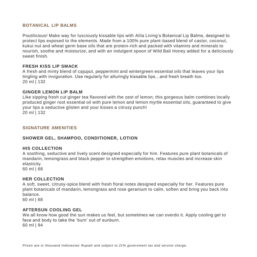# **BOTANICAL LIP BALMS**

Poutilicious! Make way for lusciously kissable lips with Alila Living's Botanical Lip Balms, designed to protect lips exposed to the elements. Made from a 100% pure plant-based blend of castor, coconut, kukui nut and wheat germ base oils that are protein-rich and packed with vitamins and minerals to nourish, soothe and moisturize, and with an indulgent spoon of Wild Bali Honey added for a deliciously sweet finish.

# **FRESH KISS LIP SMACK**

A fresh and minty blend of cajuput, peppermint and wintergreen essential oils that leaves your lips tingling with invigoration. Use regularly for alluringly kissable lips…and fresh breath too. 20 ml | 132

#### **GINGER LEMON LIP BALM**

Like sipping fresh cut ginger tea flavored with the zest of lemon, this gorgeous balm combines locally produced ginger root essential oil with pure lemon and lemon myrtle essential oils, guaranteed to give your lips a seductive glisten and your kisses a citrusy punch! 20 ml | 132

# **SIGNATURE AMENITIES**

# **SHOWER GEL, SHAMPOO, CONDITIONER, LOTION**

# **HIS COLLECTION**

A soothing, seductive and lively scent designed especially for him. Features pure plant botanicals of mandarin, lemongrass and black pepper to strengthen emotions, relax muscles and increase skin elasticity.

60 ml | 68

# **HER COLLECTION**

A soft, sweet, citrusy-spice blend with fresh floral notes designed especially for her. Features pure plant botanicals of mandarin, lemongrass and rose geranium to calm, soften and bring you back into balance.

60 ml | 68

# **AFTERSUN COOLING GEL**

We all know how good the sun makes us feel, but sometimes we can overdo it. Apply cooling gel to face and body to take the 'burn' out of sunburn. 60 ml | 94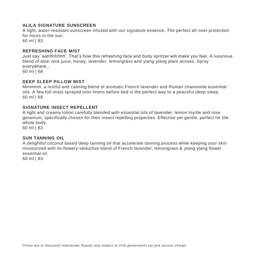# **ALILA SIGNATURE SUNSCREEN**

A light, water-resistant sunscreen infused with our signature essence. The perfect all-over protection for hours in the sun.

60 ml | 83

# **REFRESHING FACE MIST**

Just say 'aahhhhhhh'. That's how this refreshing face and body spritzer will make you feel. A luxurious blend of aloe vera juice, honey, lavender, lemongrass and ylang ylang plant actives. Spray everywhere… 60 ml | 68

# **DEEP SLEEP PILLOW MIST**

Mmmmm, a restful and calming blend of aromatic French lavender and Roman chamomile essential oils. A few full mists sprayed onto linens before bed is the perfect way to a peaceful deep sleep. 60 ml | 68

# **SIGNATURE INSECT REPELLENT**

A light and creamy lotion carefully blended with essential oils of lavender, lemon myrtle and rose geranium, specifically chosen for their insect repelling properties. Effective yet gentle, perfect for the whole body.

60 ml | 83

# **SUN TANNING OIL**

A delightful coconut based deep tanning oil that accelerate tanning process while keeping your skin moisturized with its flowery-seductive blend of French lavender, lemongrass & ylang ylang flower essential oil.

60 ml | 83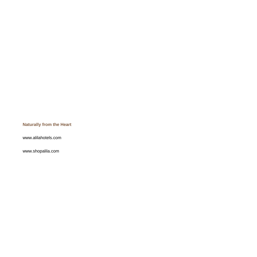# **Naturally from the Heart**

www.alilahotels.com

www.shopalila.com